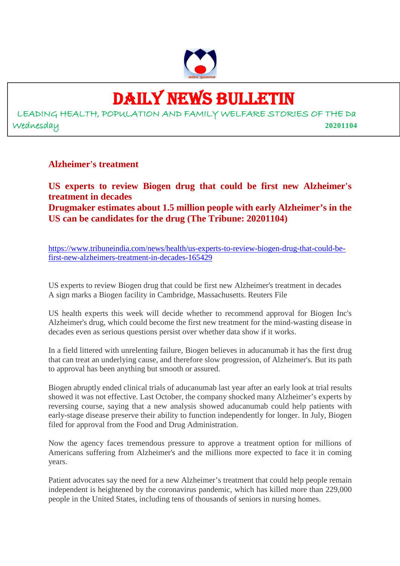

## DAILY NEWS BULLETIN

LEADING HEALTH, POPULATION AND FAMILY WELFARE STORIES OF THE Da Wednesday **20201104**

**Alzheimer's treatment**

**US experts to review Biogen drug that could be first new Alzheimer's treatment in decades Drugmaker estimates about 1.5 million people with early Alzheimer's in the US can be candidates for the drug (The Tribune: 20201104)**

https://www.tribuneindia.com/news/health/us-experts-to-review-biogen-drug-that-could-befirst-new-alzheimers-treatment-in-decades-165429

US experts to review Biogen drug that could be first new Alzheimer's treatment in decades A sign marks a Biogen facility in Cambridge, Massachusetts. Reuters File

US health experts this week will decide whether to recommend approval for Biogen Inc's Alzheimer's drug, which could become the first new treatment for the mind-wasting disease in decades even as serious questions persist over whether data show if it works.

In a field littered with unrelenting failure, Biogen believes in aducanumab it has the first drug that can treat an underlying cause, and therefore slow progression, of Alzheimer's. But its path to approval has been anything but smooth or assured.

Biogen abruptly ended clinical trials of aducanumab last year after an early look at trial results showed it was not effective. Last October, the company shocked many Alzheimer's experts by reversing course, saying that a new analysis showed aducanumab could help patients with early-stage disease preserve their ability to function independently for longer. In July, Biogen filed for approval from the Food and Drug Administration.

Now the agency faces tremendous pressure to approve a treatment option for millions of Americans suffering from Alzheimer's and the millions more expected to face it in coming years.

Patient advocates say the need for a new Alzheimer's treatment that could help people remain independent is heightened by the coronavirus pandemic, which has killed more than 229,000 people in the United States, including tens of thousands of seniors in nursing homes.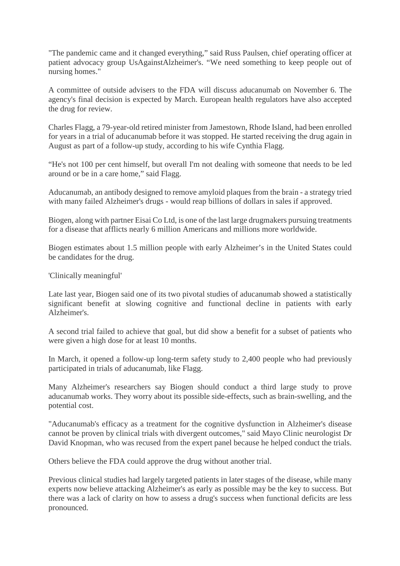"The pandemic came and it changed everything," said Russ Paulsen, chief operating officer at patient advocacy group UsAgainstAlzheimer's. "We need something to keep people out of nursing homes."

A committee of outside advisers to the FDA will discuss aducanumab on November 6. The agency's final decision is expected by March. European health regulators have also accepted the drug for review.

Charles Flagg, a 79-year-old retired minister from Jamestown, Rhode Island, had been enrolled for years in a trial of aducanumab before it was stopped. He started receiving the drug again in August as part of a follow-up study, according to his wife Cynthia Flagg.

"He's not 100 per cent himself, but overall I'm not dealing with someone that needs to be led around or be in a care home," said Flagg.

Aducanumab, an antibody designed to remove amyloid plaques from the brain - a strategy tried with many failed Alzheimer's drugs - would reap billions of dollars in sales if approved.

Biogen, along with partner Eisai Co Ltd, is one of the last large drugmakers pursuing treatments for a disease that afflicts nearly 6 million Americans and millions more worldwide.

Biogen estimates about 1.5 million people with early Alzheimer's in the United States could be candidates for the drug.

'Clinically meaningful'

Late last year, Biogen said one of its two pivotal studies of aducanumab showed a statistically significant benefit at slowing cognitive and functional decline in patients with early Alzheimer's.

A second trial failed to achieve that goal, but did show a benefit for a subset of patients who were given a high dose for at least 10 months.

In March, it opened a follow-up long-term safety study to 2,400 people who had previously participated in trials of aducanumab, like Flagg.

Many Alzheimer's researchers say Biogen should conduct a third large study to prove aducanumab works. They worry about its possible side-effects, such as brain-swelling, and the potential cost.

"Aducanumab's efficacy as a treatment for the cognitive dysfunction in Alzheimer's disease cannot be proven by clinical trials with divergent outcomes," said Mayo Clinic neurologist Dr David Knopman, who was recused from the expert panel because he helped conduct the trials.

Others believe the FDA could approve the drug without another trial.

Previous clinical studies had largely targeted patients in later stages of the disease, while many experts now believe attacking Alzheimer's as early as possible may be the key to success. But there was a lack of clarity on how to assess a drug's success when functional deficits are less pronounced.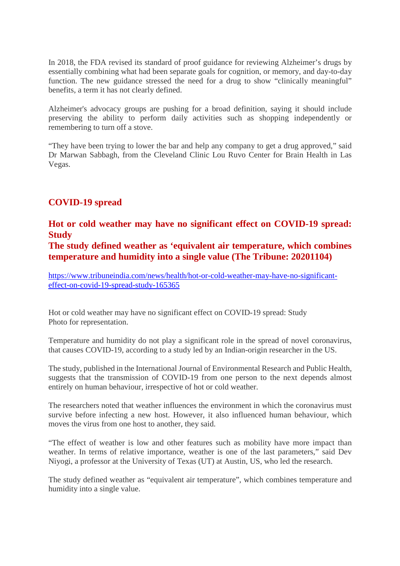In 2018, the FDA revised its standard of proof guidance for reviewing Alzheimer's drugs by essentially combining what had been separate goals for cognition, or memory, and day-to-day function. The new guidance stressed the need for a drug to show "clinically meaningful" benefits, a term it has not clearly defined.

Alzheimer's advocacy groups are pushing for a broad definition, saying it should include preserving the ability to perform daily activities such as shopping independently or remembering to turn off a stove.

"They have been trying to lower the bar and help any company to get a drug approved," said Dr Marwan Sabbagh, from the Cleveland Clinic Lou Ruvo Center for Brain Health in Las Vegas.

#### **COVID-19 spread**

#### **Hot or cold weather may have no significant effect on COVID-19 spread: Study**

**The study defined weather as 'equivalent air temperature, which combines temperature and humidity into a single value (The Tribune: 20201104)**

https://www.tribuneindia.com/news/health/hot-or-cold-weather-may-have-no-significanteffect-on-covid-19-spread-study-165365

Hot or cold weather may have no significant effect on COVID-19 spread: Study Photo for representation.

Temperature and humidity do not play a significant role in the spread of novel coronavirus, that causes COVID-19, according to a study led by an Indian-origin researcher in the US.

The study, published in the International Journal of Environmental Research and Public Health, suggests that the transmission of COVID-19 from one person to the next depends almost entirely on human behaviour, irrespective of hot or cold weather.

The researchers noted that weather influences the environment in which the coronavirus must survive before infecting a new host. However, it also influenced human behaviour, which moves the virus from one host to another, they said.

"The effect of weather is low and other features such as mobility have more impact than weather. In terms of relative importance, weather is one of the last parameters," said Dev Niyogi, a professor at the University of Texas (UT) at Austin, US, who led the research.

The study defined weather as "equivalent air temperature", which combines temperature and humidity into a single value.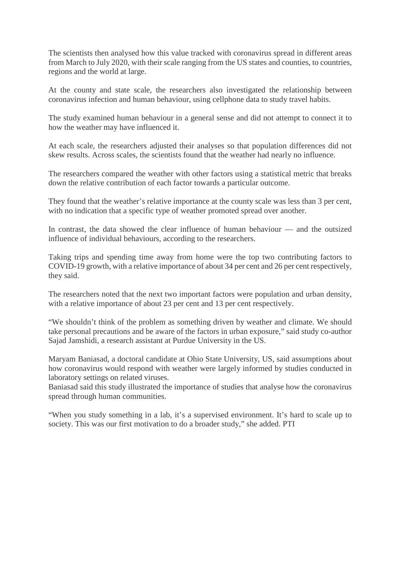The scientists then analysed how this value tracked with coronavirus spread in different areas from March to July 2020, with their scale ranging from the US states and counties, to countries, regions and the world at large.

At the county and state scale, the researchers also investigated the relationship between coronavirus infection and human behaviour, using cellphone data to study travel habits.

The study examined human behaviour in a general sense and did not attempt to connect it to how the weather may have influenced it.

At each scale, the researchers adjusted their analyses so that population differences did not skew results. Across scales, the scientists found that the weather had nearly no influence.

The researchers compared the weather with other factors using a statistical metric that breaks down the relative contribution of each factor towards a particular outcome.

They found that the weather's relative importance at the county scale was less than 3 per cent, with no indication that a specific type of weather promoted spread over another.

In contrast, the data showed the clear influence of human behaviour — and the outsized influence of individual behaviours, according to the researchers.

Taking trips and spending time away from home were the top two contributing factors to COVID-19 growth, with a relative importance of about 34 per cent and 26 per cent respectively, they said.

The researchers noted that the next two important factors were population and urban density, with a relative importance of about 23 per cent and 13 per cent respectively.

"We shouldn't think of the problem as something driven by weather and climate. We should take personal precautions and be aware of the factors in urban exposure," said study co-author Sajad Jamshidi, a research assistant at Purdue University in the US.

Maryam Baniasad, a doctoral candidate at Ohio State University, US, said assumptions about how coronavirus would respond with weather were largely informed by studies conducted in laboratory settings on related viruses.

Baniasad said this study illustrated the importance of studies that analyse how the coronavirus spread through human communities.

"When you study something in a lab, it's a supervised environment. It's hard to scale up to society. This was our first motivation to do a broader study," she added. PTI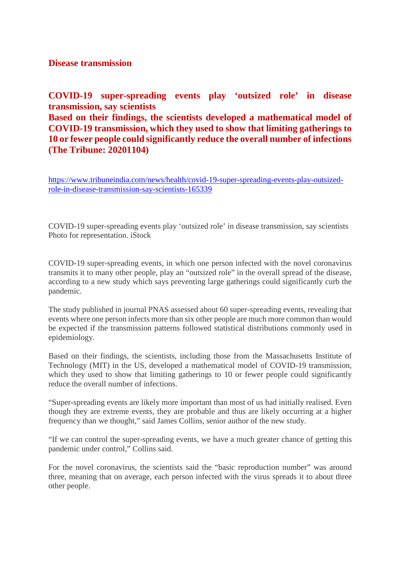#### **Disease transmission**

**COVID-19 super-spreading events play 'outsized role' in disease transmission, say scientists Based on their findings, the scientists developed a mathematical model of COVID-19 transmission, which they used to show that limiting gatherings to 10 or fewer people could significantly reduce the overall number of infections (The Tribune: 20201104)**

https://www.tribuneindia.com/news/health/covid-19-super-spreading-events-play-outsizedrole-in-disease-transmission-say-scientists-165339

COVID-19 super-spreading events play 'outsized role' in disease transmission, say scientists Photo for representation. iStock

COVID-19 super-spreading events, in which one person infected with the novel coronavirus transmits it to many other people, play an "outsized role" in the overall spread of the disease, according to a new study which says preventing large gatherings could significantly curb the pandemic.

The study published in journal PNAS assessed about 60 super-spreading events, revealing that events where one person infects more than six other people are much more common than would be expected if the transmission patterns followed statistical distributions commonly used in epidemiology.

Based on their findings, the scientists, including those from the Massachusetts Institute of Technology (MIT) in the US, developed a mathematical model of COVID-19 transmission, which they used to show that limiting gatherings to 10 or fewer people could significantly reduce the overall number of infections.

"Super-spreading events are likely more important than most of us had initially realised. Even though they are extreme events, they are probable and thus are likely occurring at a higher frequency than we thought," said James Collins, senior author of the new study.

"If we can control the super-spreading events, we have a much greater chance of getting this pandemic under control," Collins said.

For the novel coronavirus, the scientists said the "basic reproduction number" was around three, meaning that on average, each person infected with the virus spreads it to about three other people.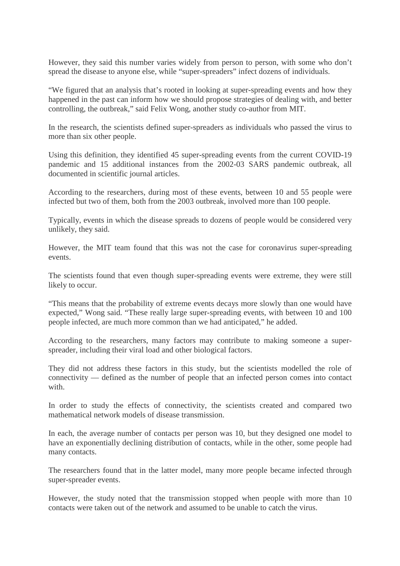However, they said this number varies widely from person to person, with some who don't spread the disease to anyone else, while "super-spreaders" infect dozens of individuals.

"We figured that an analysis that's rooted in looking at super-spreading events and how they happened in the past can inform how we should propose strategies of dealing with, and better controlling, the outbreak," said Felix Wong, another study co-author from MIT.

In the research, the scientists defined super-spreaders as individuals who passed the virus to more than six other people.

Using this definition, they identified 45 super-spreading events from the current COVID-19 pandemic and 15 additional instances from the 2002-03 SARS pandemic outbreak, all documented in scientific journal articles.

According to the researchers, during most of these events, between 10 and 55 people were infected but two of them, both from the 2003 outbreak, involved more than 100 people.

Typically, events in which the disease spreads to dozens of people would be considered very unlikely, they said.

However, the MIT team found that this was not the case for coronavirus super-spreading events.

The scientists found that even though super-spreading events were extreme, they were still likely to occur.

"This means that the probability of extreme events decays more slowly than one would have expected," Wong said. "These really large super-spreading events, with between 10 and 100 people infected, are much more common than we had anticipated," he added.

According to the researchers, many factors may contribute to making someone a superspreader, including their viral load and other biological factors.

They did not address these factors in this study, but the scientists modelled the role of connectivity — defined as the number of people that an infected person comes into contact with.

In order to study the effects of connectivity, the scientists created and compared two mathematical network models of disease transmission.

In each, the average number of contacts per person was 10, but they designed one model to have an exponentially declining distribution of contacts, while in the other, some people had many contacts.

The researchers found that in the latter model, many more people became infected through super-spreader events.

However, the study noted that the transmission stopped when people with more than 10 contacts were taken out of the network and assumed to be unable to catch the virus.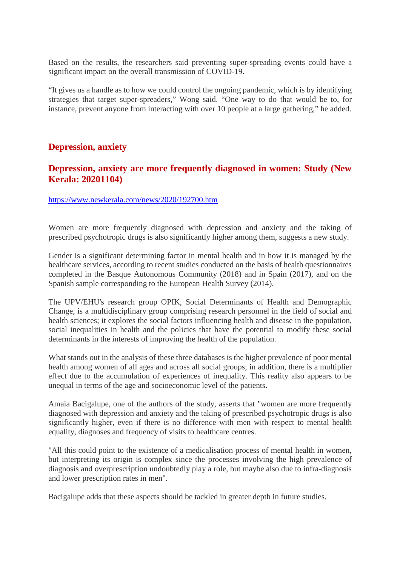Based on the results, the researchers said preventing super-spreading events could have a significant impact on the overall transmission of COVID-19.

"It gives us a handle as to how we could control the ongoing pandemic, which is by identifying strategies that target super-spreaders," Wong said. "One way to do that would be to, for instance, prevent anyone from interacting with over 10 people at a large gathering," he added.

#### **Depression, anxiety**

#### **Depression, anxiety are more frequently diagnosed in women: Study (New Kerala: 20201104)**

#### https://www.newkerala.com/news/2020/192700.htm

Women are more frequently diagnosed with depression and anxiety and the taking of prescribed psychotropic drugs is also significantly higher among them, suggests a new study.

Gender is a significant determining factor in mental health and in how it is managed by the healthcare services, according to recent studies conducted on the basis of health questionnaires completed in the Basque Autonomous Community (2018) and in Spain (2017), and on the Spanish sample corresponding to the European Health Survey (2014).

The UPV/EHU's research group OPIK, Social Determinants of Health and Demographic Change, is a multidisciplinary group comprising research personnel in the field of social and health sciences; it explores the social factors influencing health and disease in the population, social inequalities in health and the policies that have the potential to modify these social determinants in the interests of improving the health of the population.

What stands out in the analysis of these three databases is the higher prevalence of poor mental health among women of all ages and across all social groups; in addition, there is a multiplier effect due to the accumulation of experiences of inequality. This reality also appears to be unequal in terms of the age and socioeconomic level of the patients.

Amaia Bacigalupe, one of the authors of the study, asserts that "women are more frequently diagnosed with depression and anxiety and the taking of prescribed psychotropic drugs is also significantly higher, even if there is no difference with men with respect to mental health equality, diagnoses and frequency of visits to healthcare centres.

"All this could point to the existence of a medicalisation process of mental health in women, but interpreting its origin is complex since the processes involving the high prevalence of diagnosis and overprescription undoubtedly play a role, but maybe also due to infra-diagnosis and lower prescription rates in men".

Bacigalupe adds that these aspects should be tackled in greater depth in future studies.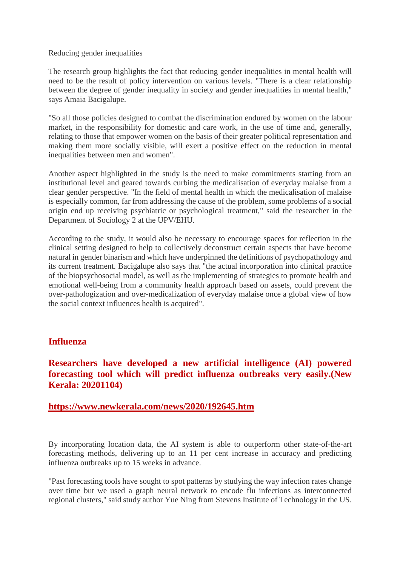Reducing gender inequalities

The research group highlights the fact that reducing gender inequalities in mental health will need to be the result of policy intervention on various levels. "There is a clear relationship between the degree of gender inequality in society and gender inequalities in mental health," says Amaia Bacigalupe.

"So all those policies designed to combat the discrimination endured by women on the labour market, in the responsibility for domestic and care work, in the use of time and, generally, relating to those that empower women on the basis of their greater political representation and making them more socially visible, will exert a positive effect on the reduction in mental inequalities between men and women".

Another aspect highlighted in the study is the need to make commitments starting from an institutional level and geared towards curbing the medicalisation of everyday malaise from a clear gender perspective. "In the field of mental health in which the medicalisation of malaise is especially common, far from addressing the cause of the problem, some problems of a social origin end up receiving psychiatric or psychological treatment," said the researcher in the Department of Sociology 2 at the UPV/EHU.

According to the study, it would also be necessary to encourage spaces for reflection in the clinical setting designed to help to collectively deconstruct certain aspects that have become natural in gender binarism and which have underpinned the definitions of psychopathology and its current treatment. Bacigalupe also says that "the actual incorporation into clinical practice of the biopsychosocial model, as well as the implementing of strategies to promote health and emotional well-being from a community health approach based on assets, could prevent the over-pathologization and over-medicalization of everyday malaise once a global view of how the social context influences health is acquired".

#### **Influenza**

**Researchers have developed a new artificial intelligence (AI) powered forecasting tool which will predict influenza outbreaks very easily.(New Kerala: 20201104)**

#### **https://www.newkerala.com/news/2020/192645.htm**

By incorporating location data, the AI system is able to outperform other state-of-the-art forecasting methods, delivering up to an 11 per cent increase in accuracy and predicting influenza outbreaks up to 15 weeks in advance.

"Past forecasting tools have sought to spot patterns by studying the way infection rates change over time but we used a graph neural network to encode flu infections as interconnected regional clusters," said study author Yue Ning from Stevens Institute of Technology in the US.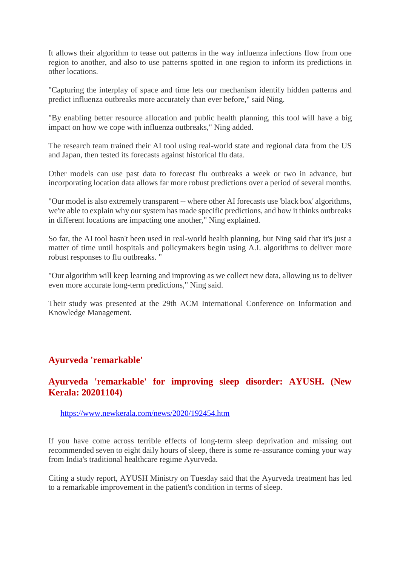It allows their algorithm to tease out patterns in the way influenza infections flow from one region to another, and also to use patterns spotted in one region to inform its predictions in other locations.

"Capturing the interplay of space and time lets our mechanism identify hidden patterns and predict influenza outbreaks more accurately than ever before," said Ning.

"By enabling better resource allocation and public health planning, this tool will have a big impact on how we cope with influenza outbreaks," Ning added.

The research team trained their AI tool using real-world state and regional data from the US and Japan, then tested its forecasts against historical flu data.

Other models can use past data to forecast flu outbreaks a week or two in advance, but incorporating location data allows far more robust predictions over a period of several months.

"Our model is also extremely transparent -- where other AI forecasts use 'black box' algorithms, we're able to explain why our system has made specific predictions, and how it thinks outbreaks in different locations are impacting one another," Ning explained.

So far, the AI tool hasn't been used in real-world health planning, but Ning said that it's just a matter of time until hospitals and policymakers begin using A.I. algorithms to deliver more robust responses to flu outbreaks. "

"Our algorithm will keep learning and improving as we collect new data, allowing us to deliver even more accurate long-term predictions," Ning said.

Their study was presented at the 29th ACM International Conference on Information and Knowledge Management.

#### **Ayurveda 'remarkable'**

#### **Ayurveda 'remarkable' for improving sleep disorder: AYUSH. (New Kerala: 20201104)**

https://www.newkerala.com/news/2020/192454.htm

If you have come across terrible effects of long-term sleep deprivation and missing out recommended seven to eight daily hours of sleep, there is some re-assurance coming your way from India's traditional healthcare regime Ayurveda.

Citing a study report, AYUSH Ministry on Tuesday said that the Ayurveda treatment has led to a remarkable improvement in the patient's condition in terms of sleep.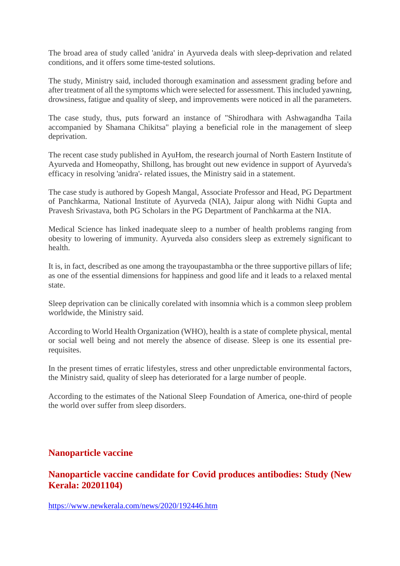The broad area of study called 'anidra' in Ayurveda deals with sleep-deprivation and related conditions, and it offers some time-tested solutions.

The study, Ministry said, included thorough examination and assessment grading before and after treatment of all the symptoms which were selected for assessment. This included yawning, drowsiness, fatigue and quality of sleep, and improvements were noticed in all the parameters.

The case study, thus, puts forward an instance of "Shirodhara with Ashwagandha Taila accompanied by Shamana Chikitsa" playing a beneficial role in the management of sleep deprivation.

The recent case study published in AyuHom, the research journal of North Eastern Institute of Ayurveda and Homeopathy, Shillong, has brought out new evidence in support of Ayurveda's efficacy in resolving 'anidra'- related issues, the Ministry said in a statement.

The case study is authored by Gopesh Mangal, Associate Professor and Head, PG Department of Panchkarma, National Institute of Ayurveda (NIA), Jaipur along with Nidhi Gupta and Pravesh Srivastava, both PG Scholars in the PG Department of Panchkarma at the NIA.

Medical Science has linked inadequate sleep to a number of health problems ranging from obesity to lowering of immunity. Ayurveda also considers sleep as extremely significant to health.

It is, in fact, described as one among the trayoupastambha or the three supportive pillars of life; as one of the essential dimensions for happiness and good life and it leads to a relaxed mental state.

Sleep deprivation can be clinically corelated with insomnia which is a common sleep problem worldwide, the Ministry said.

According to World Health Organization (WHO), health is a state of complete physical, mental or social well being and not merely the absence of disease. Sleep is one its essential prerequisites.

In the present times of erratic lifestyles, stress and other unpredictable environmental factors, the Ministry said, quality of sleep has deteriorated for a large number of people.

According to the estimates of the National Sleep Foundation of America, one-third of people the world over suffer from sleep disorders.

#### **Nanoparticle vaccine**

#### **Nanoparticle vaccine candidate for Covid produces antibodies: Study (New Kerala: 20201104)**

https://www.newkerala.com/news/2020/192446.htm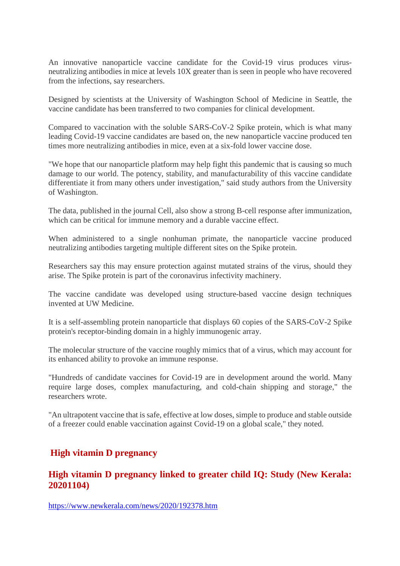An innovative nanoparticle vaccine candidate for the Covid-19 virus produces virusneutralizing antibodies in mice at levels 10X greater than is seen in people who have recovered from the infections, say researchers.

Designed by scientists at the University of Washington School of Medicine in Seattle, the vaccine candidate has been transferred to two companies for clinical development.

Compared to vaccination with the soluble SARS-CoV-2 Spike protein, which is what many leading Covid-19 vaccine candidates are based on, the new nanoparticle vaccine produced ten times more neutralizing antibodies in mice, even at a six-fold lower vaccine dose.

"We hope that our nanoparticle platform may help fight this pandemic that is causing so much damage to our world. The potency, stability, and manufacturability of this vaccine candidate differentiate it from many others under investigation," said study authors from the University of Washington.

The data, published in the journal Cell, also show a strong B-cell response after immunization, which can be critical for immune memory and a durable vaccine effect.

When administered to a single nonhuman primate, the nanoparticle vaccine produced neutralizing antibodies targeting multiple different sites on the Spike protein.

Researchers say this may ensure protection against mutated strains of the virus, should they arise. The Spike protein is part of the coronavirus infectivity machinery.

The vaccine candidate was developed using structure-based vaccine design techniques invented at UW Medicine.

It is a self-assembling protein nanoparticle that displays 60 copies of the SARS-CoV-2 Spike protein's receptor-binding domain in a highly immunogenic array.

The molecular structure of the vaccine roughly mimics that of a virus, which may account for its enhanced ability to provoke an immune response.

"Hundreds of candidate vaccines for Covid-19 are in development around the world. Many require large doses, complex manufacturing, and cold-chain shipping and storage," the researchers wrote.

"An ultrapotent vaccine that is safe, effective at low doses, simple to produce and stable outside of a freezer could enable vaccination against Covid-19 on a global scale," they noted.

#### **High vitamin D pregnancy**

#### **High vitamin D pregnancy linked to greater child IQ: Study (New Kerala: 20201104)**

https://www.newkerala.com/news/2020/192378.htm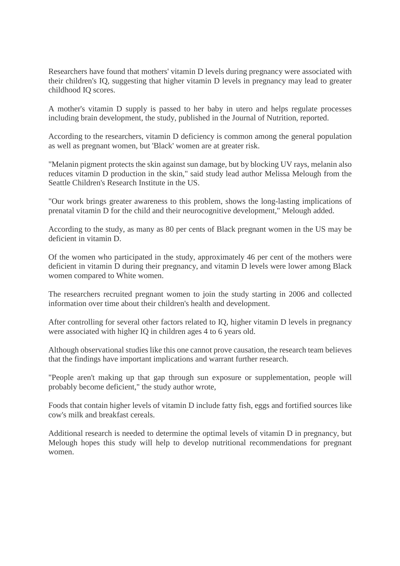Researchers have found that mothers' vitamin D levels during pregnancy were associated with their children's IQ, suggesting that higher vitamin D levels in pregnancy may lead to greater childhood IQ scores.

A mother's vitamin D supply is passed to her baby in utero and helps regulate processes including brain development, the study, published in the Journal of Nutrition, reported.

According to the researchers, vitamin D deficiency is common among the general population as well as pregnant women, but 'Black' women are at greater risk.

"Melanin pigment protects the skin against sun damage, but by blocking UV rays, melanin also reduces vitamin D production in the skin," said study lead author Melissa Melough from the Seattle Children's Research Institute in the US.

"Our work brings greater awareness to this problem, shows the long-lasting implications of prenatal vitamin D for the child and their neurocognitive development," Melough added.

According to the study, as many as 80 per cents of Black pregnant women in the US may be deficient in vitamin D.

Of the women who participated in the study, approximately 46 per cent of the mothers were deficient in vitamin D during their pregnancy, and vitamin D levels were lower among Black women compared to White women.

The researchers recruited pregnant women to join the study starting in 2006 and collected information over time about their children's health and development.

After controlling for several other factors related to IQ, higher vitamin D levels in pregnancy were associated with higher IQ in children ages 4 to 6 years old.

Although observational studies like this one cannot prove causation, the research team believes that the findings have important implications and warrant further research.

"People aren't making up that gap through sun exposure or supplementation, people will probably become deficient," the study author wrote,

Foods that contain higher levels of vitamin D include fatty fish, eggs and fortified sources like cow's milk and breakfast cereals.

Additional research is needed to determine the optimal levels of vitamin D in pregnancy, but Melough hopes this study will help to develop nutritional recommendations for pregnant women.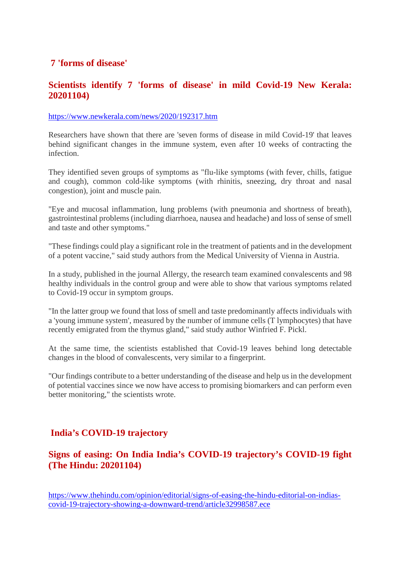#### **7 'forms of disease'**

#### **Scientists identify 7 'forms of disease' in mild Covid-19 New Kerala: 20201104)**

#### https://www.newkerala.com/news/2020/192317.htm

Researchers have shown that there are 'seven forms of disease in mild Covid-19' that leaves behind significant changes in the immune system, even after 10 weeks of contracting the infection.

They identified seven groups of symptoms as "flu-like symptoms (with fever, chills, fatigue and cough), common cold-like symptoms (with rhinitis, sneezing, dry throat and nasal congestion), joint and muscle pain.

"Eye and mucosal inflammation, lung problems (with pneumonia and shortness of breath), gastrointestinal problems (including diarrhoea, nausea and headache) and loss of sense of smell and taste and other symptoms."

"These findings could play a significant role in the treatment of patients and in the development of a potent vaccine," said study authors from the Medical University of Vienna in Austria.

In a study, published in the journal Allergy, the research team examined convalescents and 98 healthy individuals in the control group and were able to show that various symptoms related to Covid-19 occur in symptom groups.

"In the latter group we found that loss of smell and taste predominantly affects individuals with a 'young immune system', measured by the number of immune cells (T lymphocytes) that have recently emigrated from the thymus gland," said study author Winfried F. Pickl.

At the same time, the scientists established that Covid-19 leaves behind long detectable changes in the blood of convalescents, very similar to a fingerprint.

"Our findings contribute to a better understanding of the disease and help us in the development of potential vaccines since we now have access to promising biomarkers and can perform even better monitoring," the scientists wrote.

#### **India's COVID-19 trajectory**

#### **Signs of easing: On India India's COVID-19 trajectory's COVID-19 fight (The Hindu: 20201104)**

https://www.thehindu.com/opinion/editorial/signs-of-easing-the-hindu-editorial-on-indiascovid-19-trajectory-showing-a-downward-trend/article32998587.ece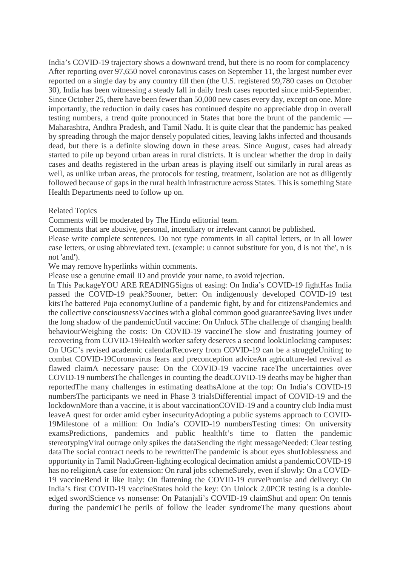India's COVID-19 trajectory shows a downward trend, but there is no room for complacency After reporting over 97,650 novel coronavirus cases on September 11, the largest number ever reported on a single day by any country till then (the U.S. registered 99,780 cases on October 30), India has been witnessing a steady fall in daily fresh cases reported since mid-September. Since October 25, there have been fewer than 50,000 new cases every day, except on one. More importantly, the reduction in daily cases has continued despite no appreciable drop in overall testing numbers, a trend quite pronounced in States that bore the brunt of the pandemic — Maharashtra, Andhra Pradesh, and Tamil Nadu. It is quite clear that the pandemic has peaked by spreading through the major densely populated cities, leaving lakhs infected and thousands dead, but there is a definite slowing down in these areas. Since August, cases had already started to pile up beyond urban areas in rural districts. It is unclear whether the drop in daily cases and deaths registered in the urban areas is playing itself out similarly in rural areas as well, as unlike urban areas, the protocols for testing, treatment, isolation are not as diligently followed because of gaps in the rural health infrastructure across States. This is something State Health Departments need to follow up on.

#### Related Topics

Comments will be moderated by The Hindu editorial team.

Comments that are abusive, personal, incendiary or irrelevant cannot be published.

Please write complete sentences. Do not type comments in all capital letters, or in all lower case letters, or using abbreviated text. (example: u cannot substitute for you, d is not 'the', n is not 'and').

We may remove hyperlinks within comments.

Please use a genuine email ID and provide your name, to avoid rejection.

In This PackageYOU ARE READINGSigns of easing: On India's COVID-19 fightHas India passed the COVID-19 peak?Sooner, better: On indigenously developed COVID-19 test kitsThe battered Puja economyOutline of a pandemic fight, by and for citizensPandemics and the collective consciousnessVaccines with a global common good guaranteeSaving lives under the long shadow of the pandemicUntil vaccine: On Unlock 5The challenge of changing health behaviourWeighing the costs: On COVID-19 vaccineThe slow and frustrating journey of recovering from COVID-19Health worker safety deserves a second lookUnlocking campuses: On UGC's revised academic calendarRecovery from COVID-19 can be a struggleUniting to combat COVID-19Coronavirus fears and preconception adviceAn agriculture-led revival as flawed claimA necessary pause: On the COVID-19 vaccine raceThe uncertainties over COVID-19 numbersThe challenges in counting the deadCOVID-19 deaths may be higher than reportedThe many challenges in estimating deathsAlone at the top: On India's COVID-19 numbersThe participants we need in Phase 3 trialsDifferential impact of COVID-19 and the lockdownMore than a vaccine, it is about vaccinationCOVID-19 and a country club India must leaveA quest for order amid cyber insecurityAdopting a public systems approach to COVID-19Milestone of a million: On India's COVID-19 numbersTesting times: On university examsPredictions, pandemics and public healthIt's time to flatten the pandemic stereotypingViral outrage only spikes the dataSending the right messageNeeded: Clear testing dataThe social contract needs to be rewrittenThe pandemic is about eyes shutJoblessness and opportunity in Tamil NaduGreen-lighting ecological decimation amidst a pandemicCOVID-19 has no religionA case for extension: On rural jobs schemeSurely, even if slowly: On a COVID-19 vaccineBend it like Italy: On flattening the COVID-19 curvePromise and delivery: On India's first COVID-19 vaccineStates hold the key: On Unlock 2.0PCR testing is a doubleedged swordScience vs nonsense: On Patanjali's COVID-19 claimShut and open: On tennis during the pandemicThe perils of follow the leader syndromeThe many questions about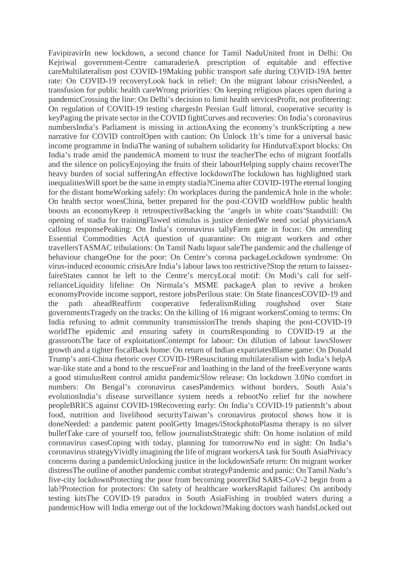FavipiravirIn new lockdown, a second chance for Tamil NaduUnited front in Delhi: On Kejriwal government-Centre camaraderieA prescription of equitable and effective careMultilateralism post COVID-19Making public transport safe during COVID-19A better rate: On COVID-19 recoveryLook back in relief: On the migrant labour crisisNeeded, a transfusion for public health careWrong priorities: On keeping religious places open during a pandemicCrossing the line: On Delhi's decision to limit health servicesProfit, not profiteering: On regulation of COVID-19 testing chargesIn Persian Gulf littoral, cooperative security is keyPaging the private sector in the COVID fightCurves and recoveries: On India's coronavirus numbersIndia's Parliament is missing in actionAxing the economy's trunkScripting a new narrative for COVID controlOpen with caution: On Unlock 1It's time for a universal basic income programme in IndiaThe waning of subaltern solidarity for HindutvaExport blocks: On India's trade amid the pandemicA moment to trust the teacherThe echo of migrant footfalls and the silence on policyEnjoying the fruits of their labourHelping supply chains recoverThe heavy burden of social sufferingAn effective lockdownThe lockdown has highlighted stark inequalitiesWill sport be the same in empty stadia?Cinema after COVID-19The eternal longing for the distant homeWorking safely: On workplaces during the pandemicA hole in the whole: On health sector woesChina, better prepared for the post-COVID worldHow public health boosts an economyKeep it retrospectiveBacking the 'angels in white coats'Standstill: On opening of stadia for trainingFlawed stimulus is justice deniedWe need social physiciansA callous responsePeaking: On India's coronavirus tallyFarm gate in focus: On amending Essential Commodities ActA question of quarantine: On migrant workers and other travellersTASMAC tribulations: On Tamil Nadu liquor saleThe pandemic and the challenge of behaviour changeOne for the poor: On Centre's corona packageLockdown syndrome: On virus-induced economic crisisAre India's labour laws too restrictive?Stop the return to laissezfaireStates cannot be left to the Centre's mercyLocal motif: On Modi's call for selfrelianceLiquidity lifeline: On Nirmala's MSME packageA plan to revive a broken economyProvide income support, restore jobsPerilous state: On State financesCOVID-19 and<br>the path aheadReaffirm cooperative federalismRiding roughshod over State the path aheadReaffirm cooperative federalismRiding roughshod over State governmentsTragedy on the tracks: On the killing of 16 migrant workersComing to terms: On India refusing to admit community transmissionThe trends shaping the post-COVID-19 worldThe epidemic and ensuring safety in courtsResponding to COVID-19 at the grassrootsThe face of exploitationContempt for labour: On dilution of labour lawsSlower growth and a tighter fiscalBack home: On return of Indian expatriatesBlame game: On Donald Trump's anti-China rhetoric over COVID-19Resuscitating multilateralism with India's helpA war-like state and a bond to the rescueFear and loathing in the land of the freeEveryone wants a good stimulusRent control amidst pandemicSlow release: On lockdown 3.0No comfort in numbers: On Bengal's coronavirus casesPandemics without borders, South Asia's evolutionIndia's disease surveillance system needs a rebootNo relief for the nowhere peopleBRICS against COVID-19Recovering early: On India's COVID-19 patientsIt's about food, nutrition and livelihood securityTaiwan's coronavirus protocol shows how it is doneNeeded: a pandemic patent poolGetty Images/iStockphotoPlasma therapy is no silver bulletTake care of yourself too, fellow journalistsStrategic shift: On home isolation of mild coronavirus casesCoping with today, planning for tomorrowNo end in sight: On India's coronavirus strategyVividly imagining the life of migrant workersA task for South AsiaPrivacy concerns during a pandemicUnlocking justice in the lockdownSafe return: On migrant worker distressThe outline of another pandemic combat strategyPandemic and panic: On Tamil Nadu's five-city lockdownProtecting the poor from becoming poorerDid SARS-CoV-2 begin from a lab?Protection for protectors: On safety of healthcare workersRapid failures: On antibody testing kitsThe COVID-19 paradox in South AsiaFishing in troubled waters during a pandemicHow will India emerge out of the lockdown?Making doctors wash handsLocked out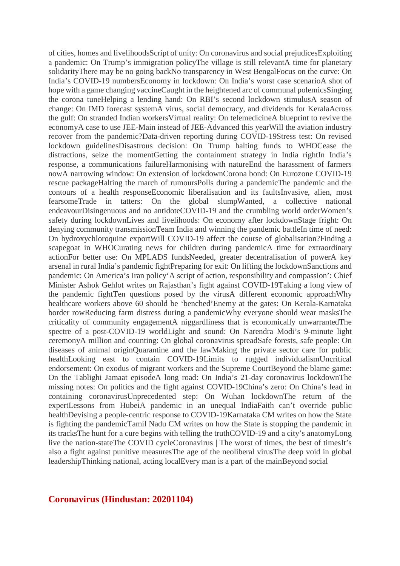of cities, homes and livelihoodsScript of unity: On coronavirus and social prejudicesExploiting a pandemic: On Trump's immigration policyThe village is still relevantA time for planetary solidarityThere may be no going backNo transparency in West BengalFocus on the curve: On India's COVID-19 numbersEconomy in lockdown: On India's worst case scenarioA shot of hope with a game changing vaccineCaught in the heightened arc of communal polemicsSinging the corona tuneHelping a lending hand: On RBI's second lockdown stimulusA season of change: On IMD forecast systemA virus, social democracy, and dividends for KeralaAcross the gulf: On stranded Indian workersVirtual reality: On telemedicineA blueprint to revive the economyA case to use JEE-Main instead of JEE-Advanced this yearWill the aviation industry recover from the pandemic?Data-driven reporting during COVID-19Stress test: On revised lockdown guidelinesDisastrous decision: On Trump halting funds to WHOCease the distractions, seize the moment Getting the containment strategy in India rightIn India's response, a communications failureHarmonising with natureEnd the harassment of farmers nowA narrowing window: On extension of lockdownCorona bond: On Eurozone COVID-19 rescue packageHalting the march of rumoursPolls during a pandemicThe pandemic and the contours of a health responseEconomic liberalisation and its faultsInvasive, alien, most fearsomeTrade in tatters: On the global slumpWanted, a collective national endeavourDisingenuous and no antidoteCOVID-19 and the crumbling world orderWomen's safety during lockdownLives and livelihoods: On economy after lockdownStage fright: On denying community transmissionTeam India and winning the pandemic battleIn time of need: On hydroxychloroquine exportWill COVID-19 affect the course of globalisation?Finding a scapegoat in WHOCurating news for children during pandemicA time for extraordinary actionFor better use: On MPLADS fundsNeeded, greater decentralisation of powerA key arsenal in rural India's pandemic fightPreparing for exit: On lifting the lockdownSanctions and pandemic: On America's Iran policy'A script of action, responsibility and compassion': Chief Minister Ashok Gehlot writes on Rajasthan's fight against COVID-19Taking a long view of the pandemic fightTen questions posed by the virusA different economic approachWhy healthcare workers above 60 should be 'benched'Enemy at the gates: On Kerala-Karnataka border rowReducing farm distress during a pandemicWhy everyone should wear masksThe criticality of community engagementA niggardliness that is economically unwarrantedThe spectre of a post-COVID-19 worldLight and sound: On Narendra Modi's 9-minute light ceremonyA million and counting: On global coronavirus spreadSafe forests, safe people: On diseases of animal originQuarantine and the lawMaking the private sector care for public healthLooking east to contain COVID-19Limits to rugged individualismUncritical endorsement: On exodus of migrant workers and the Supreme CourtBeyond the blame game: On the Tablighi Jamaat episodeA long road: On India's 21-day coronavirus lockdownThe missing notes: On politics and the fight against COVID-19China's zero: On China's lead in containing coronavirusUnprecedented step: On Wuhan lockdownThe return of the expertLessons from HubeiA pandemic in an unequal IndiaFaith can't override public healthDevising a people-centric response to COVID-19Karnataka CM writes on how the State is fighting the pandemicTamil Nadu CM writes on how the State is stopping the pandemic in its tracksThe hunt for a cure begins with telling the truthCOVID-19 and a city's anatomyLong live the nation-stateThe COVID cycleCoronavirus | The worst of times, the best of timesIt's also a fight against punitive measuresThe age of the neoliberal virusThe deep void in global leadershipThinking national, acting localEvery man is a part of the mainBeyond social

#### **Coronavirus (Hindustan: 20201104)**